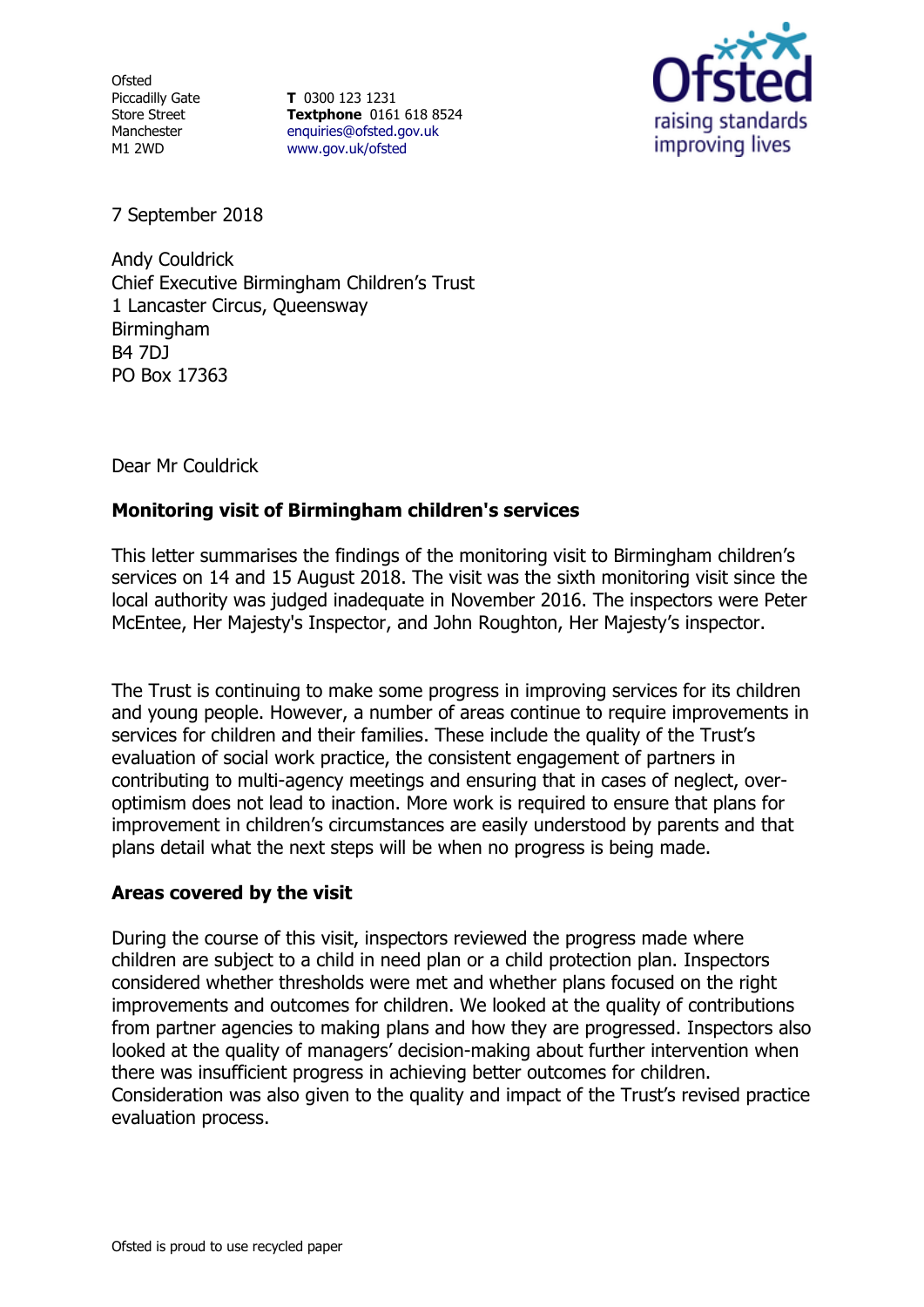**Ofsted** Piccadilly Gate Store Street **Manchester** M1 2WD

**T** 0300 123 1231 **Textphone** 0161 618 8524 [enquiries@ofsted.gov.uk](file:///D:/CACI/LIVE/OBDATA/G1/P1/L1/OB_LIVE/_PH_/enquiries@ofsted.gov.uk) [www.gov.uk/ofsted](file:///D:/CACI/LIVE/OBDATA/G1/P1/L1/OB_LIVE/_PH_/www.gov.uk/ofsted)



7 September 2018

Andy Couldrick Chief Executive Birmingham Children's Trust 1 Lancaster Circus, Queensway Birmingham B4 7DJ PO Box 17363

Dear Mr Couldrick

## **Monitoring visit of Birmingham children's services**

This letter summarises the findings of the monitoring visit to Birmingham children's services on 14 and 15 August 2018. The visit was the sixth monitoring visit since the local authority was judged inadequate in November 2016. The inspectors were Peter McEntee, Her Majesty's Inspector, and John Roughton, Her Majesty's inspector.

The Trust is continuing to make some progress in improving services for its children and young people. However, a number of areas continue to require improvements in services for children and their families. These include the quality of the Trust's evaluation of social work practice, the consistent engagement of partners in contributing to multi-agency meetings and ensuring that in cases of neglect, overoptimism does not lead to inaction. More work is required to ensure that plans for improvement in children's circumstances are easily understood by parents and that plans detail what the next steps will be when no progress is being made.

## **Areas covered by the visit**

During the course of this visit, inspectors reviewed the progress made where children are subject to a child in need plan or a child protection plan. Inspectors considered whether thresholds were met and whether plans focused on the right improvements and outcomes for children. We looked at the quality of contributions from partner agencies to making plans and how they are progressed. Inspectors also looked at the quality of managers' decision-making about further intervention when there was insufficient progress in achieving better outcomes for children. Consideration was also given to the quality and impact of the Trust's revised practice evaluation process.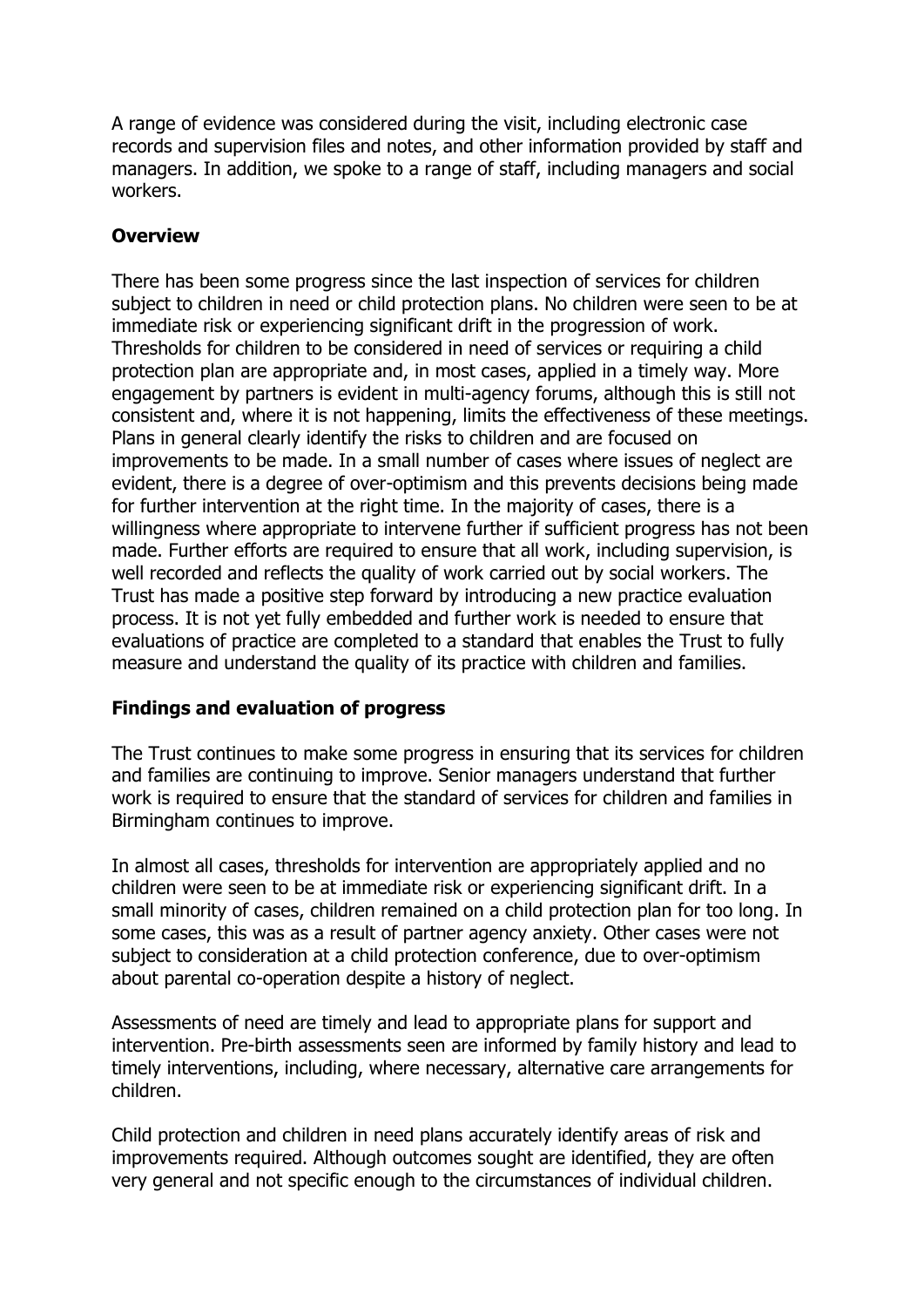A range of evidence was considered during the visit, including electronic case records and supervision files and notes, and other information provided by staff and managers. In addition, we spoke to a range of staff, including managers and social workers.

## **Overview**

There has been some progress since the last inspection of services for children subject to children in need or child protection plans. No children were seen to be at immediate risk or experiencing significant drift in the progression of work. Thresholds for children to be considered in need of services or requiring a child protection plan are appropriate and, in most cases, applied in a timely way. More engagement by partners is evident in multi-agency forums, although this is still not consistent and, where it is not happening, limits the effectiveness of these meetings. Plans in general clearly identify the risks to children and are focused on improvements to be made. In a small number of cases where issues of neglect are evident, there is a degree of over-optimism and this prevents decisions being made for further intervention at the right time. In the majority of cases, there is a willingness where appropriate to intervene further if sufficient progress has not been made. Further efforts are required to ensure that all work, including supervision, is well recorded and reflects the quality of work carried out by social workers. The Trust has made a positive step forward by introducing a new practice evaluation process. It is not yet fully embedded and further work is needed to ensure that evaluations of practice are completed to a standard that enables the Trust to fully measure and understand the quality of its practice with children and families.

## **Findings and evaluation of progress**

The Trust continues to make some progress in ensuring that its services for children and families are continuing to improve. Senior managers understand that further work is required to ensure that the standard of services for children and families in Birmingham continues to improve.

In almost all cases, thresholds for intervention are appropriately applied and no children were seen to be at immediate risk or experiencing significant drift. In a small minority of cases, children remained on a child protection plan for too long. In some cases, this was as a result of partner agency anxiety. Other cases were not subject to consideration at a child protection conference, due to over-optimism about parental co-operation despite a history of neglect.

Assessments of need are timely and lead to appropriate plans for support and intervention. Pre-birth assessments seen are informed by family history and lead to timely interventions, including, where necessary, alternative care arrangements for children.

Child protection and children in need plans accurately identify areas of risk and improvements required. Although outcomes sought are identified, they are often very general and not specific enough to the circumstances of individual children.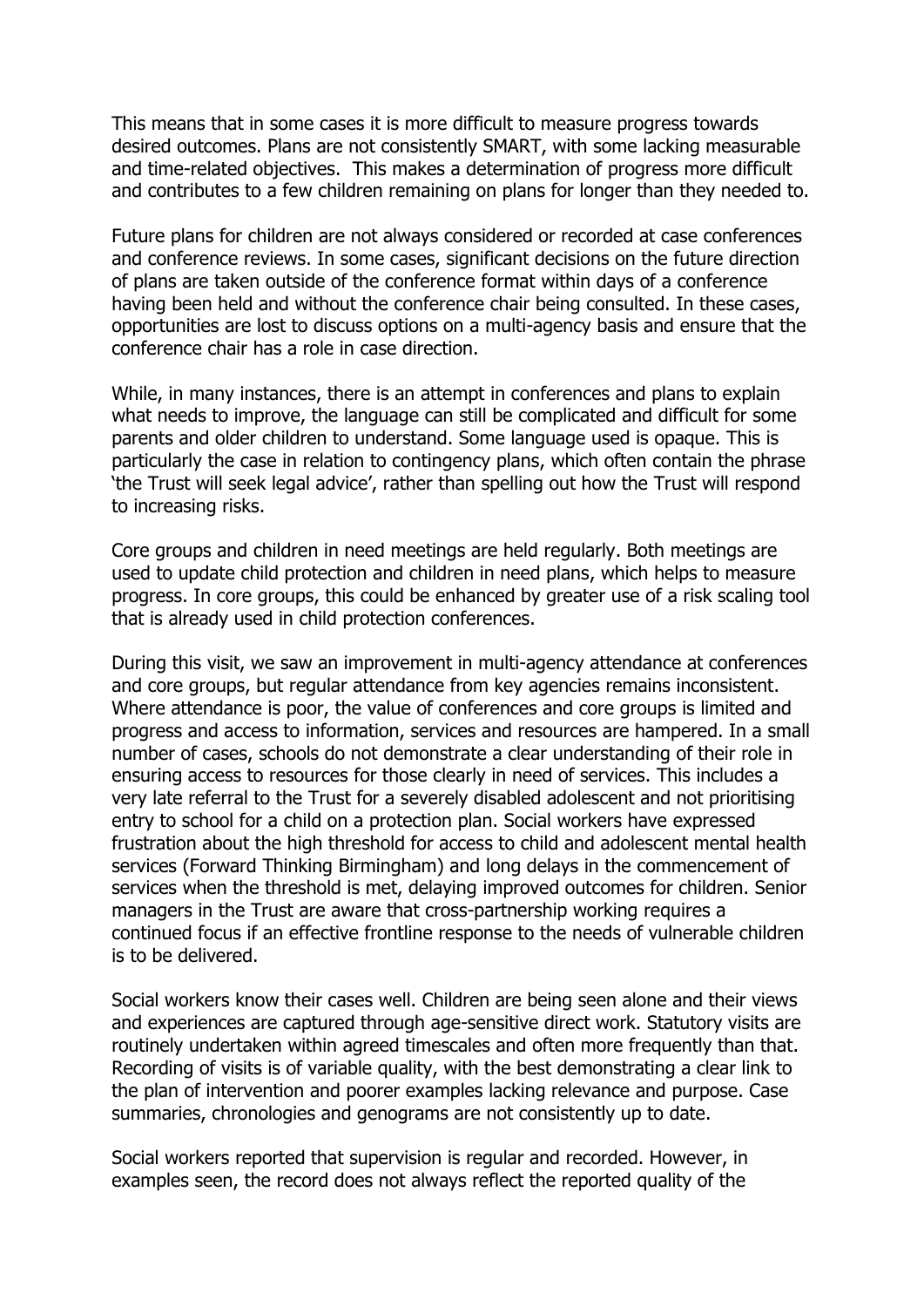This means that in some cases it is more difficult to measure progress towards desired outcomes. Plans are not consistently SMART, with some lacking measurable and time-related objectives. This makes a determination of progress more difficult and contributes to a few children remaining on plans for longer than they needed to.

Future plans for children are not always considered or recorded at case conferences and conference reviews. In some cases, significant decisions on the future direction of plans are taken outside of the conference format within days of a conference having been held and without the conference chair being consulted. In these cases, opportunities are lost to discuss options on a multi-agency basis and ensure that the conference chair has a role in case direction.

While, in many instances, there is an attempt in conferences and plans to explain what needs to improve, the language can still be complicated and difficult for some parents and older children to understand. Some language used is opaque. This is particularly the case in relation to contingency plans, which often contain the phrase 'the Trust will seek legal advice', rather than spelling out how the Trust will respond to increasing risks.

Core groups and children in need meetings are held regularly. Both meetings are used to update child protection and children in need plans, which helps to measure progress. In core groups, this could be enhanced by greater use of a risk scaling tool that is already used in child protection conferences.

During this visit, we saw an improvement in multi-agency attendance at conferences and core groups, but regular attendance from key agencies remains inconsistent. Where attendance is poor, the value of conferences and core groups is limited and progress and access to information, services and resources are hampered. In a small number of cases, schools do not demonstrate a clear understanding of their role in ensuring access to resources for those clearly in need of services. This includes a very late referral to the Trust for a severely disabled adolescent and not prioritising entry to school for a child on a protection plan. Social workers have expressed frustration about the high threshold for access to child and adolescent mental health services (Forward Thinking Birmingham) and long delays in the commencement of services when the threshold is met, delaying improved outcomes for children. Senior managers in the Trust are aware that cross-partnership working requires a continued focus if an effective frontline response to the needs of vulnerable children is to be delivered.

Social workers know their cases well. Children are being seen alone and their views and experiences are captured through age-sensitive direct work. Statutory visits are routinely undertaken within agreed timescales and often more frequently than that. Recording of visits is of variable quality, with the best demonstrating a clear link to the plan of intervention and poorer examples lacking relevance and purpose. Case summaries, chronologies and genograms are not consistently up to date.

Social workers reported that supervision is regular and recorded. However, in examples seen, the record does not always reflect the reported quality of the